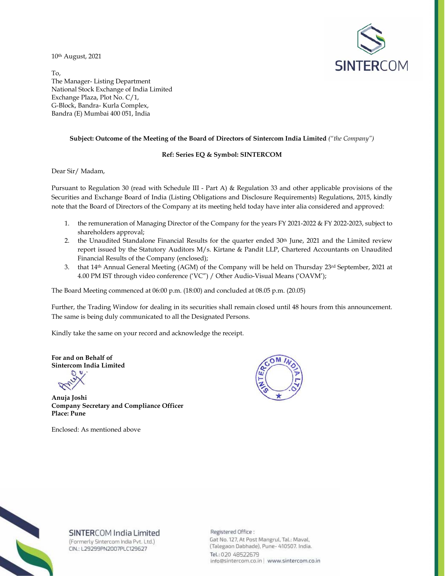10th August, 2021



To, The Manager- Listing Department National Stock Exchange of India Limited Exchange Plaza, Plot No. C/1, G-Block, Bandra- Kurla Complex, Bandra (E) Mumbai 400 051, India

#### **Subject: Outcome of the Meeting of the Board of Directors of Sintercom India Limited** *("the Company")*

### **Ref: Series EQ & Symbol: SINTERCOM**

Dear Sir/ Madam,

Pursuant to Regulation 30 (read with Schedule III - Part A) & Regulation 33 and other applicable provisions of the Securities and Exchange Board of India (Listing Obligations and Disclosure Requirements) Regulations, 2015, kindly note that the Board of Directors of the Company at its meeting held today have inter alia considered and approved:

- 1. the remuneration of Managing Director of the Company for the years FY 2021-2022 & FY 2022-2023, subject to shareholders approval;
- 2. the Unaudited Standalone Financial Results for the quarter ended 30<sup>th</sup> June, 2021 and the Limited review report issued by the Statutory Auditors M/s. Kirtane & Pandit LLP, Chartered Accountants on Unaudited Financial Results of the Company (enclosed);
- 3. that  $14<sup>th</sup>$  Annual General Meeting (AGM) of the Company will be held on Thursday  $23<sup>rd</sup>$  September, 2021 at 4.00 PM IST through video conference ('VC") / Other Audio-Visual Means ('OAVM');

The Board Meeting commenced at 06:00 p.m. (18:00) and concluded at 08.05 p.m. (20.05)

Further, the Trading Window for dealing in its securities shall remain closed until 48 hours from this announcement. The same is being duly communicated to all the Designated Persons.

Kindly take the same on your record and acknowledge the receipt.

**For and on Behalf of Sintercom India Limited** 

**Anuja Joshi Company Secretary and Compliance Officer Place: Pune** 

Enclosed: As mentioned above





## SINTERCOM India Limited

(Formerly Sintercom India Pvt. Ltd.) CIN.: L29299PN2007PLC129627

Registered Office: Gat No. 127, At Post Mangrul, Tal.: Maval, (Talegaon Dabhade), Pune- 410507. India. Tel.: 020 48522679 info@sintercom.co.in | www.sintercom.co.in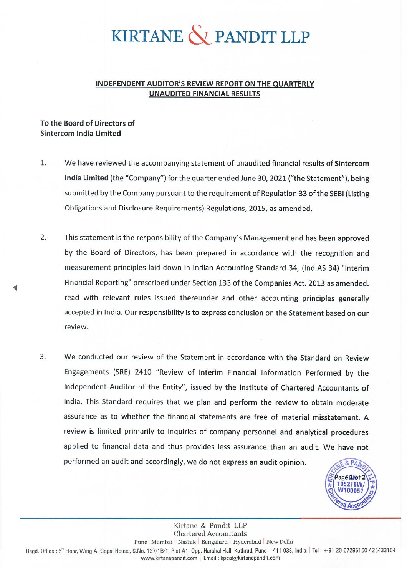# KIRTANE  $\bigotimes$  PANDIT LLP

# INDEPENDENT AUDITOR'S REVIEW REPORT ON THE QUARTERLY **UNAUDITED FINANCIAL RESULTS**

# To the Board of Directors of Sintercom India Limited

- $1.$ We have reviewed the accompanying statement of unaudited financial results of Sintercom India Limited (the "Company") for the quarter ended June 30, 2021 ("the Statement"), being submitted by the Company pursuant to the requirement of Regulation 33 of the SEBI (Listing Obligations and Disclosure Requirements) Regulations, 2015, as amended.
- $\mathcal{L}$ This statement is the responsibility of the Company's Management and has been approved by the Board of Directors, has been prepared in accordance with the recognition and measurement principles laid down in Indian Accounting Standard 34, (Ind AS 34) "Interim Financial Reporting" prescribed under Section 133 of the Companies Act. 2013 as amended. read with relevant rules issued thereunder and other accounting principles generally accepted in India. Our responsibility is to express conclusion on the Statement based on our review.
- $\overline{3}$ . We conducted our review of the Statement in accordance with the Standard on Review Engagements (SRE) 2410 "Review of Interim Financial Information Performed by the Independent Auditor of the Entity", issued by the Institute of Chartered Accountants of India. This Standard requires that we plan and perform the review to obtain moderate assurance as to whether the financial statements are free of material misstatement. A review is limited primarily to inquiries of company personnel and analytical procedures applied to financial data and thus provides less assurance than an audit. We have not performed an audit and accordingly, we do not express an audit opinion.  $8.PA$



Kirtane & Pandit LLP **Chartered Accountants** Pune Mumbai | Nashik | Bengaluru | Hyderabad | New Delhi Regd. Office: 5<sup>th</sup> Floor, Wing A, Gopal House, S.No. 127/1B/1, Plot A1, Opp. Harshal Hall, Kothrud, Pune - 411 038, India | Tel: +91 20-67295100 / 25433104 www.kirtanepandit.com | Email : kpca@kirtanepandit.com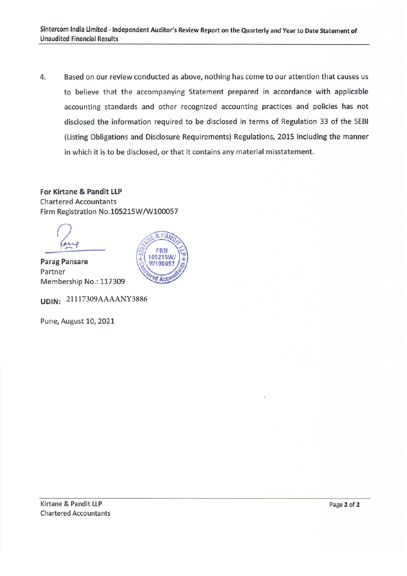Based on our review conducted as above, nothing has come to our attention that causes us 4. to believe that the accompanying Statement prepared in accordance with applicable accounting standards and other recognized accounting practices and policies has not disclosed the information required to be disclosed in terms of Regulation 33 of the SEBI (Listing Obligations and Disclosure Requirements) Regulations, 2015 including the manner in which it is to be disclosed, or that it contains any material misstatement.

For Kirtane & Pandit LLP **Chartered Accountants** Firm Registration No.105215W/W100057

**Parag Pansare** Partner Membership No.: 117309

UDIN: 21117309AAAANY3886

Pune, August 10, 2021

Kirtane & Pandit LLP **Chartered Accountants**